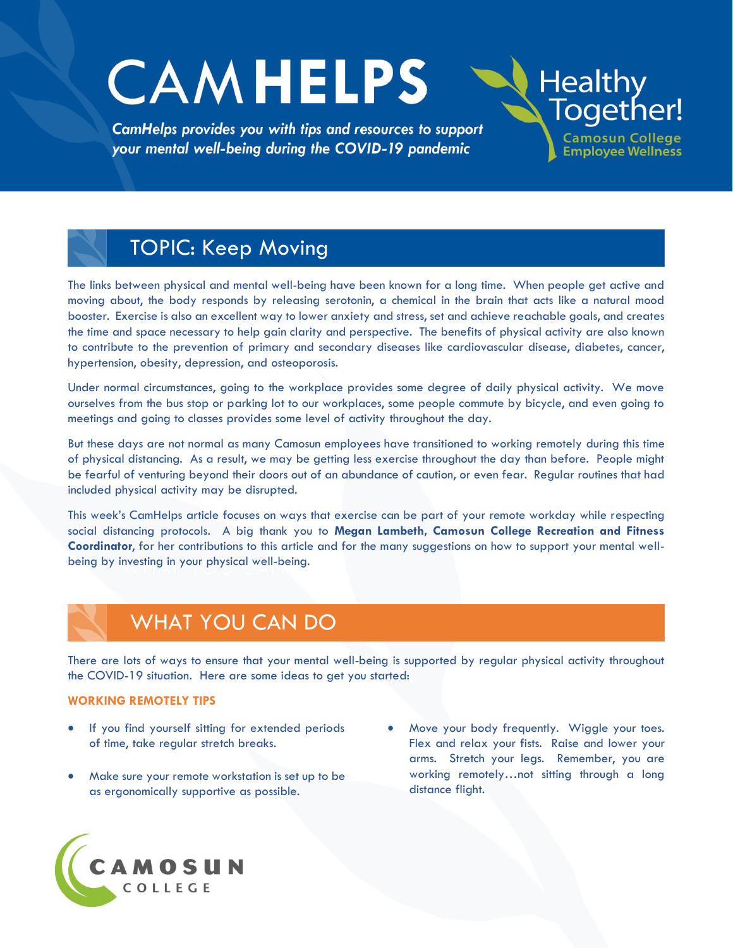# **CAMHELPS**

CamHelps provides you with tips and resources to support your mental well-being during the COVID-19 pandemic

## TOPIC: Keep Moving

The links between physical and mental well-being have been known for a long time. When people get active and moving about, the body responds by releasing serotonin, a chemical in the brain that acts like a natural mood booster. Exercise is also an excellent way to lower anxiety and stress, set and achieve reachable goals, and creates the time and space necessary to help gain clarity and perspective. The benefits of physical activity are also known to contribute to the prevention of primary and secondary diseases like cardiovascular disease, diabetes, cancer, hypertension, obesity, depression, and osteoporosis.

Under normal circumstances, going to the workplace provides some degree of daily physical activity. We move ourselves from the bus stop or parking lot to our workplaces, some people commute by bicycle, and even going to meetings and going to classes provides some level of activity throughout the day.

But these days are not normal as many Camosun employees have transitioned to working remotely during this time of physical distancing. As a result, we may be getting less exercise throughout the day than before. People might be fearful of venturing beyond their doors out of an abundance of caution, or even fear. Regular routines that had included physical activity may be disrupted.

This week's CamHelps article focuses on ways that exercise can be part of your remote workday while respecting social distancing protocols. A big thank you to **Megan Lambeth, Camosun College Recreation and Fitness Coordinator**, for her contributions to this article and for the many suggestions on how to support your mental wellbeing by investing in your physical well-being.

## WHAT YOU CAN DO

There are lots of ways to ensure that your mental well-being is supported by regular physical activity throughout the COVID-19 situation. Here are some ideas to get you started:

#### **WORKING REMOTELY TIPS**

- If you find yourself sitting for extended periods of time, take regular stretch breaks.
- Make sure your remote workstation is set up to be as ergonomically supportive as possible.
- Move your body frequently. Wiggle your toes. Flex and relax your fists. Raise and lower your arms. Stretch your legs. Remember, you are working remotely...not sitting through a long distance flight.

**Healthy** 

Together!

**Camosun College** 

**Employee Wellness** 

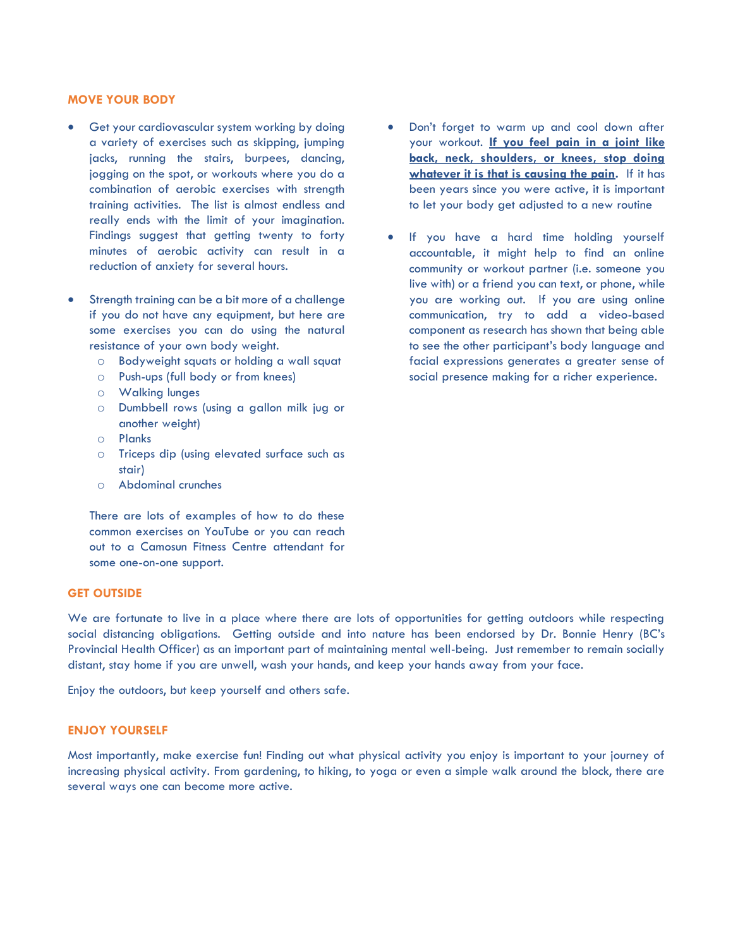#### **MOVE YOUR BODY**

- Get your cardiovascular system working by doing a variety of exercises such as skipping, jumping jacks, running the stairs, burpees, dancing, jogging on the spot, or workouts where you do a combination of aerobic exercises with strength training activities. The list is almost endless and really ends with the limit of your imagination. Findings suggest that getting twenty to forty minutes of aerobic activity can result in a reduction of anxiety for several hours.
- Strength training can be a bit more of a challenge if you do not have any equipment, but here are some exercises you can do using the natural resistance of your own body weight.
	- o Bodyweight squats or holding a wall squat
	- o Push-ups (full body or from knees)
	- o Walking lunges
	- o Dumbbell rows (using a gallon milk jug or another weight)
	- o Planks
	- o Triceps dip (using elevated surface such as stair)
	- o Abdominal crunches

There are lots of examples of how to do these common exercises on YouTube or you can reach out to a Camosun Fitness Centre attendant for some one-on-one support.

#### **GET OUTSIDE**

We are fortunate to live in a place where there are lots of opportunities for getting outdoors while respecting social distancing obligations. Getting outside and into nature has been endorsed by Dr. Bonnie Henry (BC's Provincial Health Officer) as an important part of maintaining mental well-being. Just remember to remain socially distant, stay home if you are unwell, wash your hands, and keep your hands away from your face.

Enjoy the outdoors, but keep yourself and others safe.

#### **ENJOY YOURSELF**

Most importantly, make exercise fun! Finding out what physical activity you enjoy is important to your journey of increasing physical activity. From gardening, to hiking, to yoga or even a simple walk around the block, there are several ways one can become more active.

- Don't forget to warm up and cool down after your workout. **If you feel pain in a joint like back, neck, shoulders, or knees, stop doing whatever it is that is causing the pain.** If it has been years since you were active, it is important to let your body get adjusted to a new routine
- If you have a hard time holding yourself accountable, it might help to find an online community or workout partner (i.e. someone you live with) or a friend you can text, or phone, while you are working out. If you are using online communication, try to add a video-based component as research has shown that being able to see the other participant's body language and facial expressions generates a greater sense of social presence making for a richer experience.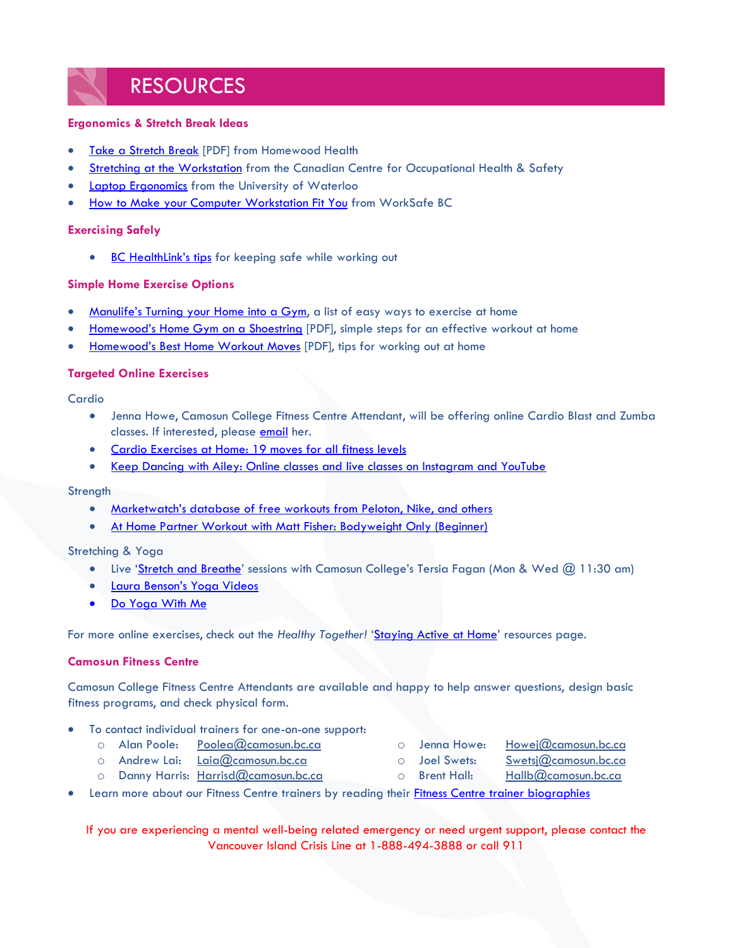### RESOURCES

#### **Ergonomics & Stretch Break Ideas**

- · [Take a Stretch Break](http://camosun.ca/covid19/documents/camhelps/hh-take-a-stretch-break.pdf) [PDF] from Homewood Health
- [Stretching at the Workstation](https://www.ccohs.ca/oshanswers/ergonomics/office/stretching.html) from the Canadian Centre for Occupational Health & Safety
- **[Laptop Ergonomics](https://uwaterloo.ca/safety-office/sites/ca.safety-office/files/uploads/files/laptop_ergonomic.pdf)** from the University of Waterloo
- How to Make [your Computer Workstation Fit You](http://www.worksafebc.com/en/resources/health-safety/books-guides/how-to-make-your-computer-workstation-fit-you?lang=en) from WorkSafe BC

#### **Exercising Safely**

• BC [HealthLink's tips](https://www.healthlinkbc.ca/physical-activity/everyone) for keeping safe while working out

#### **Simple Home Exercise Options**

- [Manulife's Turning your Home into a Gym](https://www.manulife.ca/personal/plan-and-learn/healthy-living/fitness/turn-your-home-into-a-gym.html), a list of easy ways to exercise at home
- Homewood's [Home Gym on a Shoestring](http://camosun.ca/covid19/documents/camhelps/hh-home-gym.pdf) [PDF], simple steps for an effective workout at home
- Homewood's [Best Home Workout Moves](http://camosun.ca/covid19/documents/camhelps/hh-home-workout-moves.pdf) [PDF], tips for working out at home

#### **Targeted Online Exercises**

Cardio

- Jenna Howe, Camosun College Fitness Centre Attendant, will be offering online Cardio Blast and Zumba classes. If interested, please [email](mailto:Howej@camosun.bc.ca) her.
- [Cardio Exercises at Home: 19 moves for all fitness levels](https://www.healthline.com/health/cardio-exercises-at-home#beginner)
- [Keep Dancing with Ailey: Online classes and live classes on Instagram and YouTube](https://www.aileyextension.com/keepdancing)

#### **Strength**

- [Marketwatch's database of free workouts from Peloton, Nike, and others](https://www.marketwatch.com/story/free-workouts-from-peloton-nike-and-others-to-help-you-stay-active-during-your-quarantine-2020-03-27)
- [At Home Partner Workout with Matt Fisher: Bodyweight Only \(Beginner\)](https://www.instagram.com/p/B93KhUqA5Mp/?igshid=97zga6gwp31e)

#### Stretching & Yoga

- Live '[Stretch and Breathe](https://mycamosun.sharepoint.com/sites/CamosunCommunityConnects/_layouts/15/Event.aspx?ListGuid=5b455340-8944-4315-89f0-d0882d7caa47&ItemId=8)' sessions with Camosun College's Tersia Fagan (Mon & Wed @ 11:30 am)
- [Laura Benson's Yoga Videos](http://www.laurabensonyoga.com/video.html)
- [Do Yoga With Me](https://www.doyogawithme.com/)

For more online exercises, check out the *Healthy Together!* '[Staying Active at Home](https://hub.camosun.ca/sites/hrlearn/wellness/Pages/Staying%20Active%20at%20Home.aspx)' resources page.

#### **Camosun Fitness Centre**

Camosun College Fitness Centre Attendants are available and happy to help answer questions, design basic fitness programs, and check physical form.

- To contact individual trainers for one-on-one support:
	- o Alan Poole: [Poolea@camosun.bc.ca](mailto:Poolea@camosun.bc.ca)
	- o Andrew Lai: Laia@camosun.bc.ca
	- o Danny Harris: [Harrisd@camosun.bc.ca](mailto:Harrisd@camosun.bc.ca)
	- Learn more about our Fitness Centre trainers by reading their *Fitness Centre trainer biographies*

If you are experiencing a mental well-being related emergency or need urgent support, please contact the Vancouver Island Crisis Line at 1-888-494-3888 or call 911

- o Jenna Howe: [Howej@camosun.bc.ca](mailto:Howej@camosun.bc.ca)
	-
- o Brent Hall: [Hallb@camosun.bc.ca](mailto:Hallb@camosun.bc.ca)
- o Joel Swets: [Swetsj@camosun.bc.ca](mailto:Swetsj@camosun.bc.ca)
	-
	-